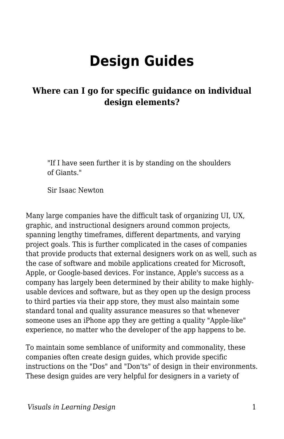# **Design Guides**

### **Where can I go for specific guidance on individual design elements?**

"If I have seen further it is by standing on the shoulders of Giants."

Sir Isaac Newton

Many large companies have the difficult task of organizing UI, UX, graphic, and instructional designers around common projects, spanning lengthy timeframes, different departments, and varying project goals. This is further complicated in the cases of companies that provide products that external designers work on as well, such as the case of software and mobile applications created for Microsoft, Apple, or Google-based devices. For instance, Apple's success as a company has largely been determined by their ability to make highlyusable devices and software, but as they open up the design process to third parties via their app store, they must also maintain some standard tonal and quality assurance measures so that whenever someone uses an iPhone app they are getting a quality "Apple-like" experience, no matter who the developer of the app happens to be.

To maintain some semblance of uniformity and commonality, these companies often create design guides, which provide specific instructions on the "Dos" and "Don'ts" of design in their environments. These design guides are very helpful for designers in a variety of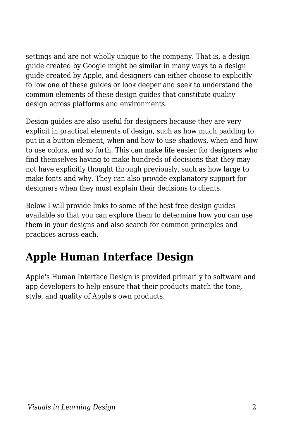settings and are not wholly unique to the company. That is, a design guide created by Google might be similar in many ways to a design guide created by Apple, and designers can either choose to explicitly follow one of these guides or look deeper and seek to understand the common elements of these design guides that constitute quality design across platforms and environments.

Design guides are also useful for designers because they are very explicit in practical elements of design, such as how much padding to put in a button element, when and how to use shadows, when and how to use colors, and so forth. This can make life easier for designers who find themselves having to make hundreds of decisions that they may not have explicitly thought through previously, such as how large to make fonts and why. They can also provide explanatory support for designers when they must explain their decisions to clients.

Below I will provide links to some of the best free design guides available so that you can explore them to determine how you can use them in your designs and also search for common principles and practices across each.

## **Apple Human Interface Design**

Apple's Human Interface Design is provided primarily to software and app developers to help ensure that their products match the tone, style, and quality of Apple's own products.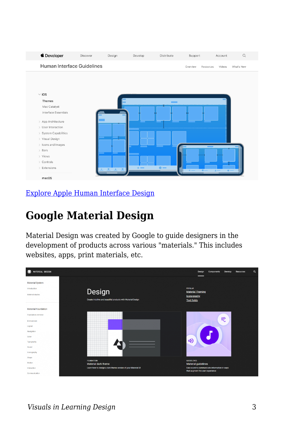

#### [Explore Apple Human Interface Design](https://developer.apple.com/design/human-interface-guidelines/)

### **Google Material Design**

Material Design was created by Google to guide designers in the development of products across various "materials." This includes websites, apps, print materials, etc.

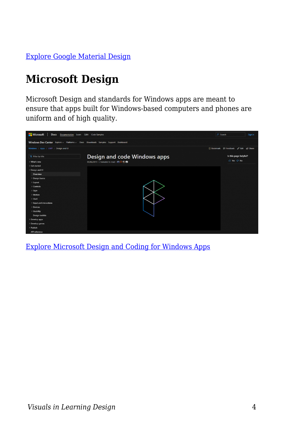[Explore Google Material Design](https://material.google.com/)

# **Microsoft Design**

Microsoft Design and standards for Windows apps are meant to ensure that apps built for Windows-based computers and phones are uniform and of high quality.



[Explore Microsoft Design and Coding for Windows Apps](https://docs.microsoft.com/en-us/windows/uwp/design/)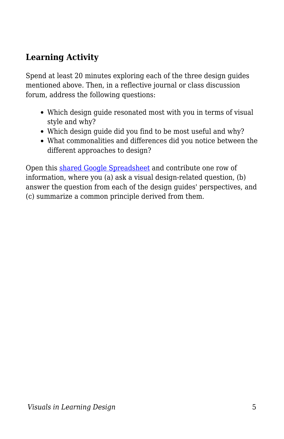### **Learning Activity**

Spend at least 20 minutes exploring each of the three design guides mentioned above. Then, in a reflective journal or class discussion forum, address the following questions:

- Which design guide resonated most with you in terms of visual style and why?
- Which design guide did you find to be most useful and why?
- What commonalities and differences did you notice between the different approaches to design?

Open this [shared Google Spreadsheet](https://docs.google.com/spreadsheets/d/1wzNdKoeuNFA-A9_GXMxdSMO2U-6reNK-M4ol4w1S3L8/edit?usp=sharing) and contribute one row of information, where you (a) ask a visual design-related question, (b) answer the question from each of the design guides' perspectives, and (c) summarize a common principle derived from them.